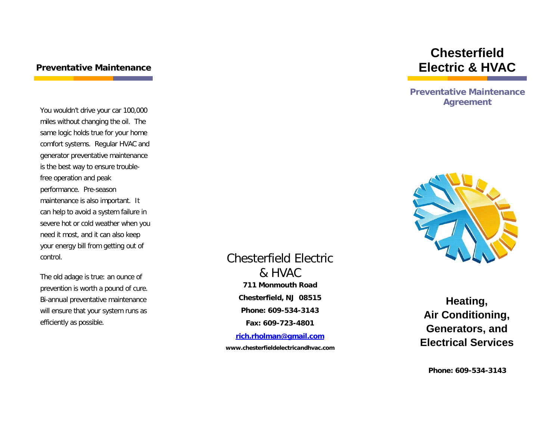#### **Preventative Maintenance**

You wouldn't drive your car 100,000 miles without changing the oil. The same logic holds true for your home comfort systems. Regular HVAC and generator preventative maintenance is the best way to ensure troublefree operation and peak performance. Pre-season maintenance is also important. It can help to avoid a system failure in severe hot or cold weather when you need it most, and it can also keep your energy bill from getting out of control.

The old adage is true: an ounce of prevention is worth a pound of cure. Bi-annual preventative maintenance will ensure that your system runs as efficiently as possible.

# **711 Monmouth Road Chesterfield, NJ 08515 Phone: 609-534-3143 Fax: 609-723-4801** Chesterfield Electric & HVAC

**[rich.rholman@gmail.com](mailto:rich.rholman@gmail.com)**

**www.chesterfieldelectricandhvac.com**

# **Chesterfield Electric & HVAC**

**Preventative Maintenance Agreement**



**Heating, Air Conditioning, Generators, and Electrical Services**

**Phone: 609-534-3143**